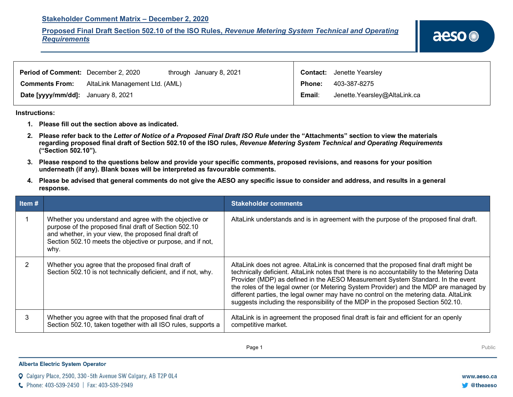### **Stakeholder Comment Matrix – December 2, 2020**

# **Proposed Final Draft Section 502.10 of the ISO Rules,** *Revenue Metering System Technical and Operating Requirements*

| <b>Period of Comment:</b> December 2, 2020 |                                | through January 8, 2021 |               | <b>Contact:</b> Jenette Yearsley |
|--------------------------------------------|--------------------------------|-------------------------|---------------|----------------------------------|
| <b>Comments From:</b>                      | AltaLink Management Ltd. (AML) |                         | <b>Phone:</b> | 403-387-8275                     |
| Date [yyyy/mm/dd]: January 8, 2021         |                                |                         | Email:        | Jenette.Yearsley@AltaLink.ca     |

#### **Instructions:**

- **1. Please fill out the section above as indicated.**
- **2. Please refer back to the** *Letter of Notice of a Proposed Final Draft ISO Rule* **under the "Attachments" section to view the materials regarding proposed final draft of Section 502.10 of the ISO rules,** *Revenue Metering System Technical and Operating Requirements* **("Section 502.10").**
- **3. Please respond to the questions below and provide your specific comments, proposed revisions, and reasons for your position underneath (if any). Blank boxes will be interpreted as favourable comments.**
- **4. Please be advised that general comments do not give the AESO any specific issue to consider and address, and results in a general response.**

| Item $#$ |                                                                                                                                                                                                                                                 | <b>Stakeholder comments</b>                                                                                                                                                                                                                                                                                                                                                                                                                                                                                                                  |
|----------|-------------------------------------------------------------------------------------------------------------------------------------------------------------------------------------------------------------------------------------------------|----------------------------------------------------------------------------------------------------------------------------------------------------------------------------------------------------------------------------------------------------------------------------------------------------------------------------------------------------------------------------------------------------------------------------------------------------------------------------------------------------------------------------------------------|
|          | Whether you understand and agree with the objective or<br>purpose of the proposed final draft of Section 502.10<br>and whether, in your view, the proposed final draft of<br>Section 502.10 meets the objective or purpose, and if not,<br>why. | AltaLink understands and is in agreement with the purpose of the proposed final draft.                                                                                                                                                                                                                                                                                                                                                                                                                                                       |
|          | Whether you agree that the proposed final draft of<br>Section 502.10 is not technically deficient, and if not, why.                                                                                                                             | AltaLink does not agree. AltaLink is concerned that the proposed final draft might be<br>technically deficient. AltaLink notes that there is no accountability to the Metering Data<br>Provider (MDP) as defined in the AESO Measurement System Standard. In the event<br>the roles of the legal owner (or Metering System Provider) and the MDP are managed by<br>different parties, the legal owner may have no control on the metering data. AltaLink<br>suggests including the responsibility of the MDP in the proposed Section 502.10. |
| 3        | Whether you agree with that the proposed final draft of<br>Section 502.10, taken together with all ISO rules, supports a                                                                                                                        | AltaLink is in agreement the proposed final draft is fair and efficient for an openly<br>competitive market.                                                                                                                                                                                                                                                                                                                                                                                                                                 |

### **Alberta Electric System Operator**

Calgary Place, 2500, 330-5th Avenue SW Calgary, AB T2P 0L4

C Phone: 403-539-2450 | Fax: 403-539-2949